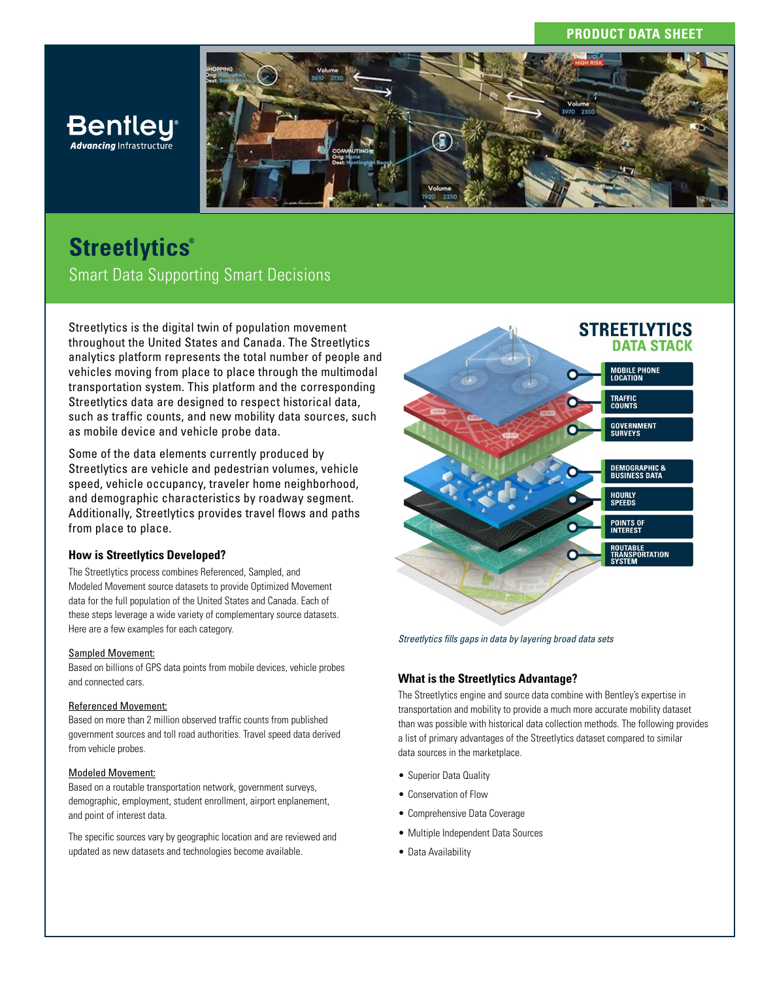## **PRODUCT DATA SHEET**



# **Streetlytics®** Smart Data Supporting Smart Decisions

**Bentley Advancing Infrastructure** 

Streetlytics is the digital twin of population movement throughout the United States and Canada. The Streetlytics analytics platform represents the total number of people and vehicles moving from place to place through the multimodal transportation system. This platform and the corresponding Streetlytics data are designed to respect historical data, such as traffic counts, and new mobility data sources, such as mobile device and vehicle probe data.

Some of the data elements currently produced by Streetlytics are vehicle and pedestrian volumes, vehicle speed, vehicle occupancy, traveler home neighborhood, and demographic characteristics by roadway segment. Additionally, Streetlytics provides travel flows and paths from place to place.

#### **How is Streetlytics Developed?**

The Streetlytics process combines Referenced, Sampled, and Modeled Movement source datasets to provide Optimized Movement data for the full population of the United States and Canada. Each of these steps leverage a wide variety of complementary source datasets. Here are a few examples for each category.

#### Sampled Movement:

Based on billions of GPS data points from mobile devices, vehicle probes and connected cars.

#### Referenced Movement:

Based on more than 2 million observed traffic counts from published government sources and toll road authorities. Travel speed data derived from vehicle probes.

#### Modeled Movement:

Based on a routable transportation network, government surveys, demographic, employment, student enrollment, airport enplanement, and point of interest data.

The specific sources vary by geographic location and are reviewed and updated as new datasets and technologies become available.



*Streetlytics fills gaps in data by layering broad data sets* 

## **What is the Streetlytics Advantage?**

The Streetlytics engine and source data combine with Bentley's expertise in transportation and mobility to provide a much more accurate mobility dataset than was possible with historical data collection methods. The following provides a list of primary advantages of the Streetlytics dataset compared to similar data sources in the marketplace.

- Superior Data Quality
- Conservation of Flow
- Comprehensive Data Coverage
- Multiple Independent Data Sources
- Data Availability